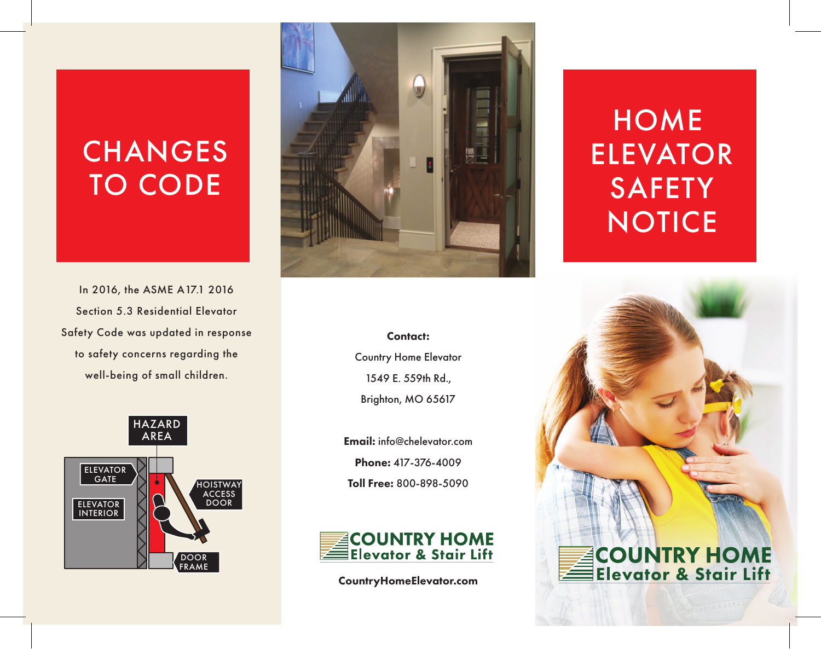## **CHANGES** TO CODE

In 2016, the ASME A17.1 2016 Section 5.3 Residential Elevator Safety Code was updated in response to safety concerns regarding the well-being of small children.





### Contact: Country Home Elevator 1549 E. 559th Rd., Brighton, MO 65617

Email: info@chelevator.com Phone: 417-376-4009 Toll Free: 800-898-5090



CountryHomeElevator.com

## **HOME** ELEVATOR **SAFETY NOTICE**